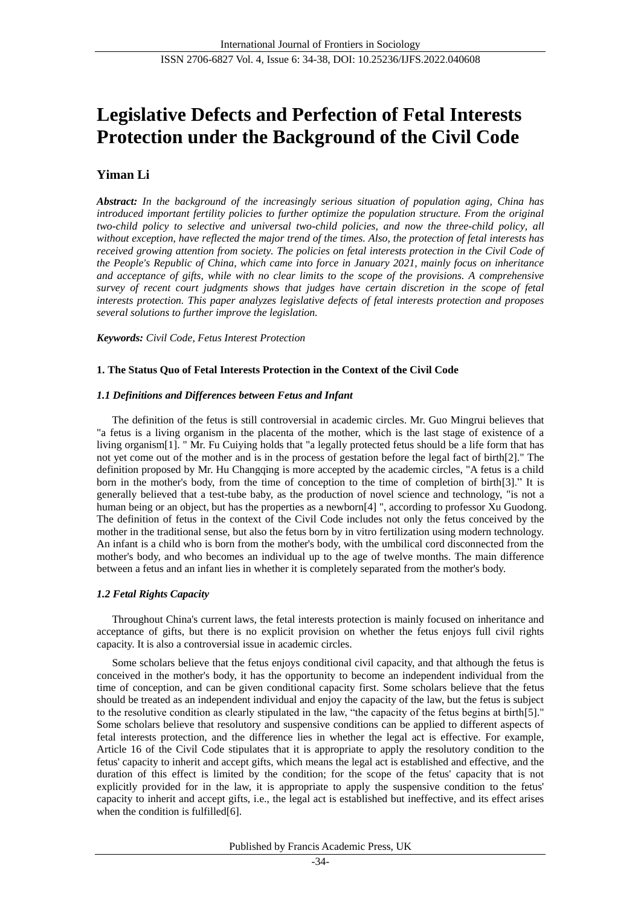# **Legislative Defects and Perfection of Fetal Interests Protection under the Background of the Civil Code**

# **Yiman Li**

*Abstract: In the background of the increasingly serious situation of population aging, China has introduced important fertility policies to further optimize the population structure. From the original two-child policy to selective and universal two-child policies, and now the three-child policy, all without exception, have reflected the major trend of the times. Also, the protection of fetal interests has received growing attention from society. The policies on fetal interests protection in the Civil Code of the People's Republic of China, which came into force in January 2021, mainly focus on inheritance and acceptance of gifts, while with no clear limits to the scope of the provisions. A comprehensive survey of recent court judgments shows that judges have certain discretion in the scope of fetal interests protection. This paper analyzes legislative defects of fetal interests protection and proposes several solutions to further improve the legislation.*

*Keywords: Civil Code, Fetus Interest Protection*

#### **1. The Status Quo of Fetal Interests Protection in the Context of the Civil Code**

#### *1.1 Definitions and Differences between Fetus and Infant*

The definition of the fetus is still controversial in academic circles. Mr. Guo Mingrui believes that "a fetus is a living organism in the placenta of the mother, which is the last stage of existence of a living organism[1]. " Mr. Fu Cuiying holds that "a legally protected fetus should be a life form that has not yet come out of the mother and is in the process of gestation before the legal fact of birth[2]." The definition proposed by Mr. Hu Changqing is more accepted by the academic circles, "A fetus is a child born in the mother's body, from the time of conception to the time of completion of birth[3]." It is generally believed that a test-tube baby, as the production of novel science and technology, "is not a human being or an object, but has the properties as a newborn[4] ", according to professor Xu Guodong. The definition of fetus in the context of the Civil Code includes not only the fetus conceived by the mother in the traditional sense, but also the fetus born by in vitro fertilization using modern technology. An infant is a child who is born from the mother's body, with the umbilical cord disconnected from the mother's body, and who becomes an individual up to the age of twelve months. The main difference between a fetus and an infant lies in whether it is completely separated from the mother's body.

## *1.2 Fetal Rights Capacity*

Throughout China's current laws, the fetal interests protection is mainly focused on inheritance and acceptance of gifts, but there is no explicit provision on whether the fetus enjoys full civil rights capacity. It is also a controversial issue in academic circles.

Some scholars believe that the fetus enjoys conditional civil capacity, and that although the fetus is conceived in the mother's body, it has the opportunity to become an independent individual from the time of conception, and can be given conditional capacity first. Some scholars believe that the fetus should be treated as an independent individual and enjoy the capacity of the law, but the fetus is subject to the resolutive condition as clearly stipulated in the law, "the capacity of the fetus begins at birth[5]." Some scholars believe that resolutory and suspensive conditions can be applied to different aspects of fetal interests protection, and the difference lies in whether the legal act is effective. For example, Article 16 of the Civil Code stipulates that it is appropriate to apply the resolutory condition to the fetus' capacity to inherit and accept gifts, which means the legal act is established and effective, and the duration of this effect is limited by the condition; for the scope of the fetus' capacity that is not explicitly provided for in the law, it is appropriate to apply the suspensive condition to the fetus' capacity to inherit and accept gifts, i.e., the legal act is established but ineffective, and its effect arises when the condition is fulfilled[6].

Published by Francis Academic Press, UK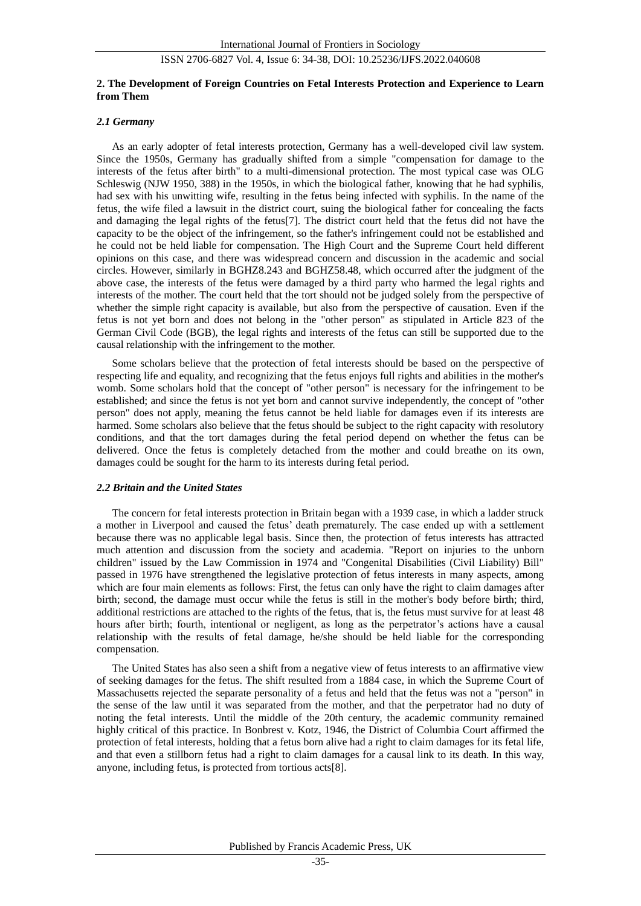#### **2. The Development of Foreign Countries on Fetal Interests Protection and Experience to Learn from Them**

#### *2.1 Germany*

As an early adopter of fetal interests protection, Germany has a well-developed civil law system. Since the 1950s, Germany has gradually shifted from a simple "compensation for damage to the interests of the fetus after birth" to a multi-dimensional protection. The most typical case was OLG Schleswig (NJW 1950, 388) in the 1950s, in which the biological father, knowing that he had syphilis, had sex with his unwitting wife, resulting in the fetus being infected with syphilis. In the name of the fetus, the wife filed a lawsuit in the district court, suing the biological father for concealing the facts and damaging the legal rights of the fetus[7]. The district court held that the fetus did not have the capacity to be the object of the infringement, so the father's infringement could not be established and he could not be held liable for compensation. The High Court and the Supreme Court held different opinions on this case, and there was widespread concern and discussion in the academic and social circles. However, similarly in BGHZ8.243 and BGHZ58.48, which occurred after the judgment of the above case, the interests of the fetus were damaged by a third party who harmed the legal rights and interests of the mother. The court held that the tort should not be judged solely from the perspective of whether the simple right capacity is available, but also from the perspective of causation. Even if the fetus is not yet born and does not belong in the "other person" as stipulated in Article 823 of the German Civil Code (BGB), the legal rights and interests of the fetus can still be supported due to the causal relationship with the infringement to the mother.

Some scholars believe that the protection of fetal interests should be based on the perspective of respecting life and equality, and recognizing that the fetus enjoys full rights and abilities in the mother's womb. Some scholars hold that the concept of "other person" is necessary for the infringement to be established; and since the fetus is not yet born and cannot survive independently, the concept of "other person" does not apply, meaning the fetus cannot be held liable for damages even if its interests are harmed. Some scholars also believe that the fetus should be subject to the right capacity with resolutory conditions, and that the tort damages during the fetal period depend on whether the fetus can be delivered. Once the fetus is completely detached from the mother and could breathe on its own, damages could be sought for the harm to its interests during fetal period.

### *2.2 Britain and the United States*

The concern for fetal interests protection in Britain began with a 1939 case, in which a ladder struck a mother in Liverpool and caused the fetus' death prematurely. The case ended up with a settlement because there was no applicable legal basis. Since then, the protection of fetus interests has attracted much attention and discussion from the society and academia. "Report on injuries to the unborn children" issued by the Law Commission in 1974 and "Congenital Disabilities (Civil Liability) Bill" passed in 1976 have strengthened the legislative protection of fetus interests in many aspects, among which are four main elements as follows: First, the fetus can only have the right to claim damages after birth; second, the damage must occur while the fetus is still in the mother's body before birth; third, additional restrictions are attached to the rights of the fetus, that is, the fetus must survive for at least 48 hours after birth; fourth, intentional or negligent, as long as the perpetrator's actions have a causal relationship with the results of fetal damage, he/she should be held liable for the corresponding compensation.

The United States has also seen a shift from a negative view of fetus interests to an affirmative view of seeking damages for the fetus. The shift resulted from a 1884 case, in which the Supreme Court of Massachusetts rejected the separate personality of a fetus and held that the fetus was not a "person" in the sense of the law until it was separated from the mother, and that the perpetrator had no duty of noting the fetal interests. Until the middle of the 20th century, the academic community remained highly critical of this practice. In Bonbrest v. Kotz, 1946, the District of Columbia Court affirmed the protection of fetal interests, holding that a fetus born alive had a right to claim damages for its fetal life, and that even a stillborn fetus had a right to claim damages for a causal link to its death. In this way, anyone, including fetus, is protected from tortious acts[8].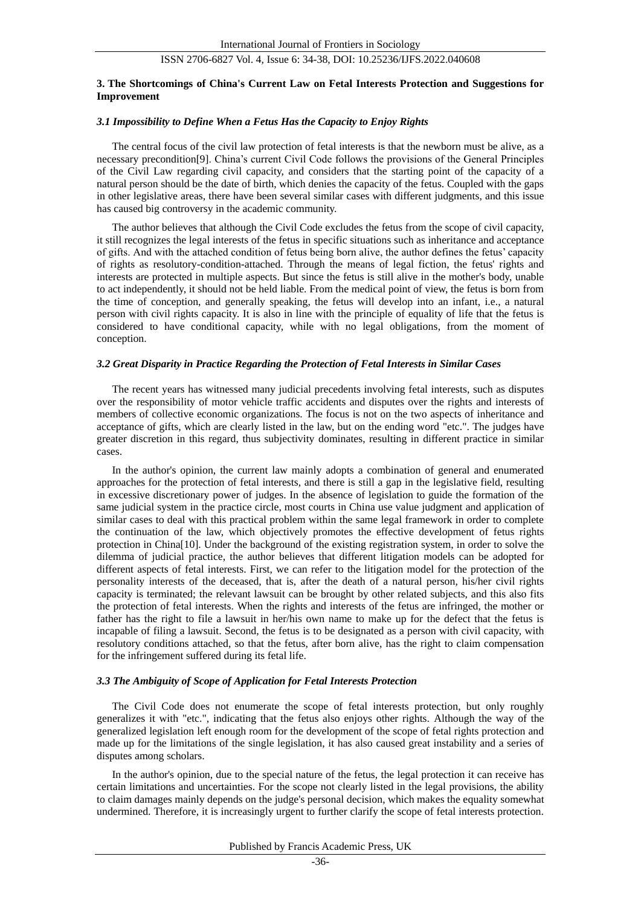#### **3. The Shortcomings of China's Current Law on Fetal Interests Protection and Suggestions for Improvement**

#### *3.1 Impossibility to Define When a Fetus Has the Capacity to Enjoy Rights*

The central focus of the civil law protection of fetal interests is that the newborn must be alive, as a necessary precondition[9]. China's current Civil Code follows the provisions of the General Principles of the Civil Law regarding civil capacity, and considers that the starting point of the capacity of a natural person should be the date of birth, which denies the capacity of the fetus. Coupled with the gaps in other legislative areas, there have been several similar cases with different judgments, and this issue has caused big controversy in the academic community.

The author believes that although the Civil Code excludes the fetus from the scope of civil capacity, it still recognizes the legal interests of the fetus in specific situations such as inheritance and acceptance of gifts. And with the attached condition of fetus being born alive, the author defines the fetus' capacity of rights as resolutory-condition-attached. Through the means of legal fiction, the fetus' rights and interests are protected in multiple aspects. But since the fetus is still alive in the mother's body, unable to act independently, it should not be held liable. From the medical point of view, the fetus is born from the time of conception, and generally speaking, the fetus will develop into an infant, i.e., a natural person with civil rights capacity. It is also in line with the principle of equality of life that the fetus is considered to have conditional capacity, while with no legal obligations, from the moment of conception.

### *3.2 Great Disparity in Practice Regarding the Protection of Fetal Interests in Similar Cases*

The recent years has witnessed many judicial precedents involving fetal interests, such as disputes over the responsibility of motor vehicle traffic accidents and disputes over the rights and interests of members of collective economic organizations. The focus is not on the two aspects of inheritance and acceptance of gifts, which are clearly listed in the law, but on the ending word "etc.". The judges have greater discretion in this regard, thus subjectivity dominates, resulting in different practice in similar cases.

In the author's opinion, the current law mainly adopts a combination of general and enumerated approaches for the protection of fetal interests, and there is still a gap in the legislative field, resulting in excessive discretionary power of judges. In the absence of legislation to guide the formation of the same judicial system in the practice circle, most courts in China use value judgment and application of similar cases to deal with this practical problem within the same legal framework in order to complete the continuation of the law, which objectively promotes the effective development of fetus rights protection in China[10]. Under the background of the existing registration system, in order to solve the dilemma of judicial practice, the author believes that different litigation models can be adopted for different aspects of fetal interests. First, we can refer to the litigation model for the protection of the personality interests of the deceased, that is, after the death of a natural person, his/her civil rights capacity is terminated; the relevant lawsuit can be brought by other related subjects, and this also fits the protection of fetal interests. When the rights and interests of the fetus are infringed, the mother or father has the right to file a lawsuit in her/his own name to make up for the defect that the fetus is incapable of filing a lawsuit. Second, the fetus is to be designated as a person with civil capacity, with resolutory conditions attached, so that the fetus, after born alive, has the right to claim compensation for the infringement suffered during its fetal life.

#### *3.3 The Ambiguity of Scope of Application for Fetal Interests Protection*

The Civil Code does not enumerate the scope of fetal interests protection, but only roughly generalizes it with "etc.", indicating that the fetus also enjoys other rights. Although the way of the generalized legislation left enough room for the development of the scope of fetal rights protection and made up for the limitations of the single legislation, it has also caused great instability and a series of disputes among scholars.

In the author's opinion, due to the special nature of the fetus, the legal protection it can receive has certain limitations and uncertainties. For the scope not clearly listed in the legal provisions, the ability to claim damages mainly depends on the judge's personal decision, which makes the equality somewhat undermined. Therefore, it is increasingly urgent to further clarify the scope of fetal interests protection.

Published by Francis Academic Press, UK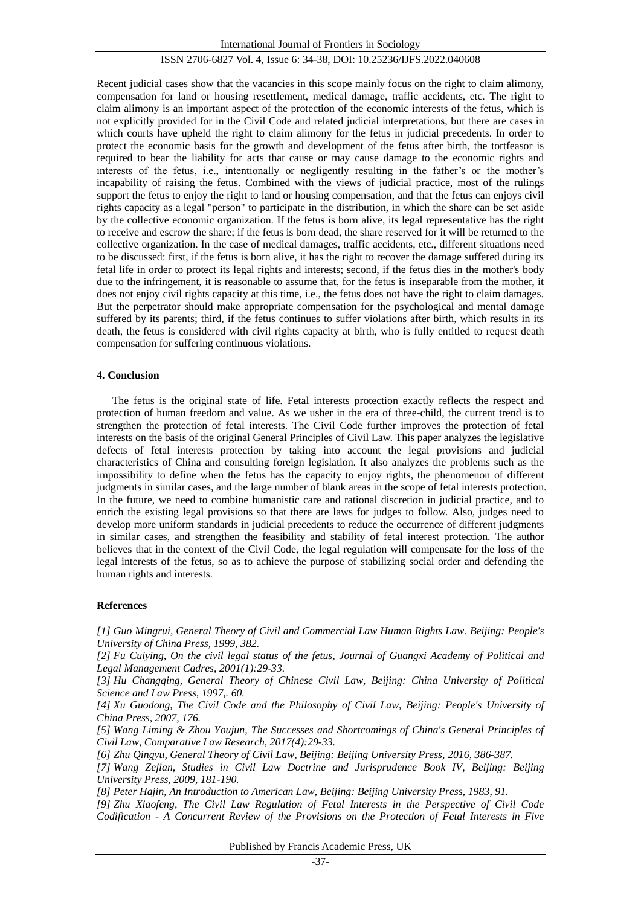Recent judicial cases show that the vacancies in this scope mainly focus on the right to claim alimony, compensation for land or housing resettlement, medical damage, traffic accidents, etc. The right to claim alimony is an important aspect of the protection of the economic interests of the fetus, which is not explicitly provided for in the Civil Code and related judicial interpretations, but there are cases in which courts have upheld the right to claim alimony for the fetus in judicial precedents. In order to protect the economic basis for the growth and development of the fetus after birth, the tortfeasor is required to bear the liability for acts that cause or may cause damage to the economic rights and interests of the fetus, i.e., intentionally or negligently resulting in the father's or the mother's incapability of raising the fetus. Combined with the views of judicial practice, most of the rulings support the fetus to enjoy the right to land or housing compensation, and that the fetus can enjoys civil rights capacity as a legal "person" to participate in the distribution, in which the share can be set aside by the collective economic organization. If the fetus is born alive, its legal representative has the right to receive and escrow the share; if the fetus is born dead, the share reserved for it will be returned to the collective organization. In the case of medical damages, traffic accidents, etc., different situations need to be discussed: first, if the fetus is born alive, it has the right to recover the damage suffered during its fetal life in order to protect its legal rights and interests; second, if the fetus dies in the mother's body due to the infringement, it is reasonable to assume that, for the fetus is inseparable from the mother, it does not enjoy civil rights capacity at this time, i.e., the fetus does not have the right to claim damages. But the perpetrator should make appropriate compensation for the psychological and mental damage suffered by its parents; third, if the fetus continues to suffer violations after birth, which results in its death, the fetus is considered with civil rights capacity at birth, who is fully entitled to request death compensation for suffering continuous violations.

## **4. Conclusion**

The fetus is the original state of life. Fetal interests protection exactly reflects the respect and protection of human freedom and value. As we usher in the era of three-child, the current trend is to strengthen the protection of fetal interests. The Civil Code further improves the protection of fetal interests on the basis of the original General Principles of Civil Law. This paper analyzes the legislative defects of fetal interests protection by taking into account the legal provisions and judicial characteristics of China and consulting foreign legislation. It also analyzes the problems such as the impossibility to define when the fetus has the capacity to enjoy rights, the phenomenon of different judgments in similar cases, and the large number of blank areas in the scope of fetal interests protection. In the future, we need to combine humanistic care and rational discretion in judicial practice, and to enrich the existing legal provisions so that there are laws for judges to follow. Also, judges need to develop more uniform standards in judicial precedents to reduce the occurrence of different judgments in similar cases, and strengthen the feasibility and stability of fetal interest protection. The author believes that in the context of the Civil Code, the legal regulation will compensate for the loss of the legal interests of the fetus, so as to achieve the purpose of stabilizing social order and defending the human rights and interests.

## **References**

*[1] Guo Mingrui, General Theory of Civil and Commercial Law Human Rights Law. Beijing: People's University of China Press, 1999, 382.*

*[2] Fu Cuiying, On the civil legal status of the fetus, Journal of Guangxi Academy of Political and Legal Management Cadres, 2001(1):29-33.*

*[3] Hu Changqing, General Theory of Chinese Civil Law, Beijing: China University of Political Science and Law Press, 1997,. 60.*

*[4] Xu Guodong, The Civil Code and the Philosophy of Civil Law, Beijing: People's University of China Press, 2007, 176.*

*[5] Wang Liming & Zhou Youjun, The Successes and Shortcomings of China's General Principles of Civil Law, Comparative Law Research, 2017(4):29-33.*

*[6] Zhu Qingyu, General Theory of Civil Law, Beijing: Beijing University Press, 2016, 386-387.*

*[7] Wang Zejian, Studies in Civil Law Doctrine and Jurisprudence Book IV, Beijing: Beijing University Press, 2009, 181-190.*

*[8] Peter Hajin, An Introduction to American Law, Beijing: Beijing University Press, 1983, 91.*

*[9] Zhu Xiaofeng, The Civil Law Regulation of Fetal Interests in the Perspective of Civil Code Codification - A Concurrent Review of the Provisions on the Protection of Fetal Interests in Five* 

Published by Francis Academic Press, UK